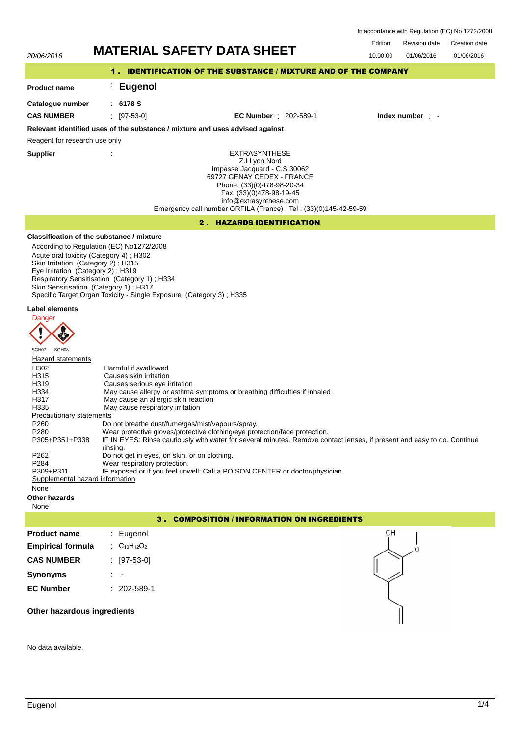In accordance with Regulation (EC) No 1272/2008

| 20/06/2016                                                                                                                                                                                                                                                                                                                                                                   | <b>MATERIAL SAFETY DATA SHEET</b>                                                                                                                                                                                                                                                                                                                                                                                                                                                                                                                                                                                                                                                                                                                                                                                                                                                                                                                                                  | Edition<br><b>Revision date</b><br>Creation date<br>01/06/2016<br>01/06/2016<br>10.00.00 |  |  |  |
|------------------------------------------------------------------------------------------------------------------------------------------------------------------------------------------------------------------------------------------------------------------------------------------------------------------------------------------------------------------------------|------------------------------------------------------------------------------------------------------------------------------------------------------------------------------------------------------------------------------------------------------------------------------------------------------------------------------------------------------------------------------------------------------------------------------------------------------------------------------------------------------------------------------------------------------------------------------------------------------------------------------------------------------------------------------------------------------------------------------------------------------------------------------------------------------------------------------------------------------------------------------------------------------------------------------------------------------------------------------------|------------------------------------------------------------------------------------------|--|--|--|
| 1. IDENTIFICATION OF THE SUBSTANCE / MIXTURE AND OF THE COMPANY                                                                                                                                                                                                                                                                                                              |                                                                                                                                                                                                                                                                                                                                                                                                                                                                                                                                                                                                                                                                                                                                                                                                                                                                                                                                                                                    |                                                                                          |  |  |  |
| <b>Product name</b>                                                                                                                                                                                                                                                                                                                                                          | <b>Eugenol</b>                                                                                                                                                                                                                                                                                                                                                                                                                                                                                                                                                                                                                                                                                                                                                                                                                                                                                                                                                                     |                                                                                          |  |  |  |
| Catalogue number                                                                                                                                                                                                                                                                                                                                                             | : 6178S                                                                                                                                                                                                                                                                                                                                                                                                                                                                                                                                                                                                                                                                                                                                                                                                                                                                                                                                                                            |                                                                                          |  |  |  |
| <b>CAS NUMBER</b>                                                                                                                                                                                                                                                                                                                                                            | $: 197-53-01$<br><b>EC Number</b> : 202-589-1                                                                                                                                                                                                                                                                                                                                                                                                                                                                                                                                                                                                                                                                                                                                                                                                                                                                                                                                      | Index number : -                                                                         |  |  |  |
|                                                                                                                                                                                                                                                                                                                                                                              | Relevant identified uses of the substance / mixture and uses advised against                                                                                                                                                                                                                                                                                                                                                                                                                                                                                                                                                                                                                                                                                                                                                                                                                                                                                                       |                                                                                          |  |  |  |
| Reagent for research use only                                                                                                                                                                                                                                                                                                                                                |                                                                                                                                                                                                                                                                                                                                                                                                                                                                                                                                                                                                                                                                                                                                                                                                                                                                                                                                                                                    |                                                                                          |  |  |  |
| <b>Supplier</b>                                                                                                                                                                                                                                                                                                                                                              | <b>EXTRASYNTHESE</b><br>Z.I Lyon Nord<br>Impasse Jacquard - C.S 30062<br>69727 GENAY CEDEX - FRANCE<br>Phone. (33)(0)478-98-20-34<br>Fax. (33)(0)478-98-19-45<br>info@extrasynthese.com<br>Emergency call number ORFILA (France) : Tel : (33)(0)145-42-59-59                                                                                                                                                                                                                                                                                                                                                                                                                                                                                                                                                                                                                                                                                                                       |                                                                                          |  |  |  |
| <b>2. HAZARDS IDENTIFICATION</b>                                                                                                                                                                                                                                                                                                                                             |                                                                                                                                                                                                                                                                                                                                                                                                                                                                                                                                                                                                                                                                                                                                                                                                                                                                                                                                                                                    |                                                                                          |  |  |  |
| Skin Irritation (Category 2); H315<br>Eye Irritation (Category 2); H319<br>Label elements<br>Danger<br>SGH08<br>SGH07<br><b>Hazard statements</b><br>H302<br>H315<br>H319<br>H334<br>H317<br>H335<br>Precautionary statements<br>P <sub>260</sub><br>P280<br>P305+P351+P338<br>P262<br>P284<br>P309+P311<br>Supplemental hazard information<br>None<br>Other hazards<br>None | Classification of the substance / mixture<br>According to Regulation (EC) No1272/2008<br>Acute oral toxicity (Category 4); H302<br>Respiratory Sensitisation (Category 1); H334<br>Skin Sensitisation (Category 1); H317<br>Specific Target Organ Toxicity - Single Exposure (Category 3); H335<br>Harmful if swallowed<br>Causes skin irritation<br>Causes serious eye irritation<br>May cause allergy or asthma symptoms or breathing difficulties if inhaled<br>May cause an allergic skin reaction<br>May cause respiratory irritation<br>Do not breathe dust/fume/gas/mist/vapours/spray.<br>Wear protective gloves/protective clothing/eye protection/face protection.<br>IF IN EYES: Rinse cautiously with water for several minutes. Remove contact lenses, if present and easy to do. Continue<br>rinsing.<br>Do not get in eyes, on skin, or on clothing.<br>Wear respiratory protection.<br>IF exposed or if you feel unwell: Call a POISON CENTER or doctor/physician. |                                                                                          |  |  |  |
| 3. COMPOSITION / INFORMATION ON INGREDIENTS                                                                                                                                                                                                                                                                                                                                  |                                                                                                                                                                                                                                                                                                                                                                                                                                                                                                                                                                                                                                                                                                                                                                                                                                                                                                                                                                                    |                                                                                          |  |  |  |
| <b>Product name</b>                                                                                                                                                                                                                                                                                                                                                          | Eugenol                                                                                                                                                                                                                                                                                                                                                                                                                                                                                                                                                                                                                                                                                                                                                                                                                                                                                                                                                                            | OΗ                                                                                       |  |  |  |
| <b>Empirical formula</b>                                                                                                                                                                                                                                                                                                                                                     | $C_{10}H_{12}O_2$                                                                                                                                                                                                                                                                                                                                                                                                                                                                                                                                                                                                                                                                                                                                                                                                                                                                                                                                                                  | Ο                                                                                        |  |  |  |
| <b>CAS NUMBER</b>                                                                                                                                                                                                                                                                                                                                                            | $[97-53-0]$                                                                                                                                                                                                                                                                                                                                                                                                                                                                                                                                                                                                                                                                                                                                                                                                                                                                                                                                                                        |                                                                                          |  |  |  |
| <b>Synonyms</b>                                                                                                                                                                                                                                                                                                                                                              |                                                                                                                                                                                                                                                                                                                                                                                                                                                                                                                                                                                                                                                                                                                                                                                                                                                                                                                                                                                    |                                                                                          |  |  |  |
| <b>EC Number</b>                                                                                                                                                                                                                                                                                                                                                             | $: 202 - 589 - 1$                                                                                                                                                                                                                                                                                                                                                                                                                                                                                                                                                                                                                                                                                                                                                                                                                                                                                                                                                                  |                                                                                          |  |  |  |
| Other hazardous ingredients                                                                                                                                                                                                                                                                                                                                                  |                                                                                                                                                                                                                                                                                                                                                                                                                                                                                                                                                                                                                                                                                                                                                                                                                                                                                                                                                                                    |                                                                                          |  |  |  |

No data available.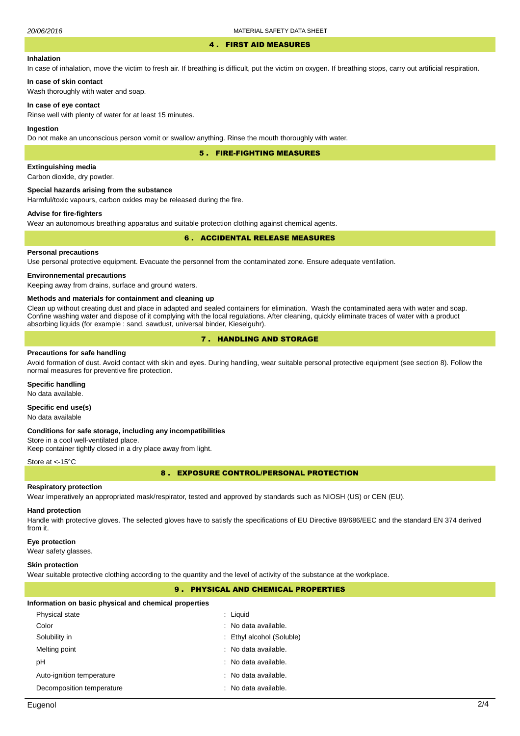#### 4 . FIRST AID MEASURES

# **Inhalation**

In case of inhalation, move the victim to fresh air. If breathing is difficult, put the victim on oxygen. If breathing stops, carry out artificial respiration.

# **In case of skin contact**

Wash thoroughly with water and soap.

### **In case of eye contact**

Rinse well with plenty of water for at least 15 minutes.

#### **Ingestion**

Do not make an unconscious person vomit or swallow anything. Rinse the mouth thoroughly with water.

5 . FIRE-FIGHTING MEASURES

# **Extinguishing media**

Carbon dioxide, dry powder.

#### **Special hazards arising from the substance**

Harmful/toxic vapours, carbon oxides may be released during the fire.

# **Advise for fire-fighters**

Wear an autonomous breathing apparatus and suitable protection clothing against chemical agents.

# 6 . ACCIDENTAL RELEASE MEASURES

# **Personal precautions**

Use personal protective equipment. Evacuate the personnel from the contaminated zone. Ensure adequate ventilation.

# **Environnemental precautions**

Keeping away from drains, surface and ground waters.

#### **Methods and materials for containment and cleaning up**

Clean up without creating dust and place in adapted and sealed containers for elimination. Wash the contaminated aera with water and soap. Confine washing water and dispose of it complying with the local regulations. After cleaning, quickly eliminate traces of water with a product absorbing liquids (for example : sand, sawdust, universal binder, Kieselguhr).

# 7 . HANDLING AND STORAGE

#### **Precautions for safe handling**

Avoid formation of dust. Avoid contact with skin and eyes. During handling, wear suitable personal protective equipment (see section 8). Follow the normal measures for preventive fire protection.

#### **Specific handling**

No data available.

# **Specific end use(s)**

No data available

#### **Conditions for safe storage, including any incompatibilities**

Store in a cool well-ventilated place. Keep container tightly closed in a dry place away from light.

#### Store at <- 15°C

8 . EXPOSURE CONTROL/PERSONAL PROTECTION

# **Respiratory protection**

Wear imperatively an appropriated mask/respirator, tested and approved by standards such as NIOSH (US) or CEN (EU).

# **Hand protection**

Handle with protective gloves. The selected gloves have to satisfy the specifications of EU Directive 89/686/EEC and the standard EN 374 derived from it.

### **Eye protection**

Wear safety glasses.

#### **Skin protection**

Wear suitable protective clothing according to the quantity and the level of activity of the substance at the workplace.

# 9 . PHYSICAL AND CHEMICAL PROPERTIES

#### **Information on basic physical and chemical properties**

| Physical state            | : Liquid                  |
|---------------------------|---------------------------|
| Color                     | : No data available.      |
| Solubility in             | : Ethyl alcohol (Soluble) |
| Melting point             | : No data available.      |
| рH                        | : No data available.      |
| Auto-ignition temperature | : No data available.      |
| Decomposition temperature | : No data available.      |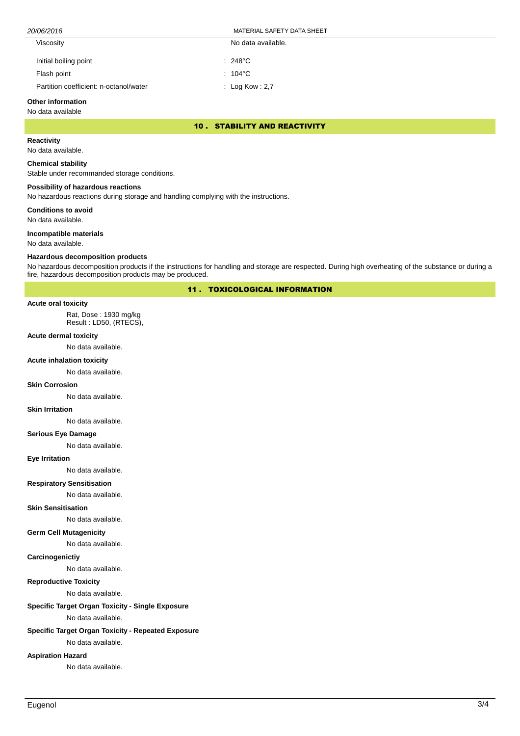| Viscosity                              | No data available. |
|----------------------------------------|--------------------|
| Initial boiling point                  | $: 248^{\circ}$ C  |
| Flash point                            | $: 104^{\circ}$ C  |
| Partition coefficient: n-octanol/water | : Log Kow : 2,7    |

# **Other information**

# No data available

# 10 . STABILITY AND REACTIVITY

# **Reactivity**

No data available.

### **Chemical stability**

Stable under recommanded storage conditions.

# **Possibility of hazardous reactions**

No hazardous reactions during storage and handling complying with the instructions.

**Conditions to avoid**

No data available.

### **Incompatible materials**

No data available.

#### **Hazardous decomposition products**

No hazardous decomposition products if the instructions for handling and storage are respected. During high overheating of the substance or during a fire, hazardous decomposition products may be produced.

11 . TOXICOLOGICAL INFORMATION

#### **Acute oral toxicity**

Rat, Dose : 1930 mg/kg Result : LD50, (RTECS),

# **Acute dermal toxicity**

No data available.

#### **Acute inhalation toxicity**

No data available.

#### **Skin Corrosion**

No data available.

#### **Skin Irritation**

No data available.

### **Serious Eye Damage**

No data available.

#### **Eye Irritation**

No data available.

# **Respiratory Sensitisation**

No data available.

### **Skin Sensitisation**

No data available.

# **Germ Cell Mutagenicity**

No data available.

# **Carcinogenictiy**

No data available.

# **Reproductive Toxicity**

No data available.

# **Specific Target Organ Toxicity - Single Exposure**

No data available.

# **Specific Target Organ Toxicity - Repeated Exposure**

No data available.

# **Aspiration Hazard**

No data available.